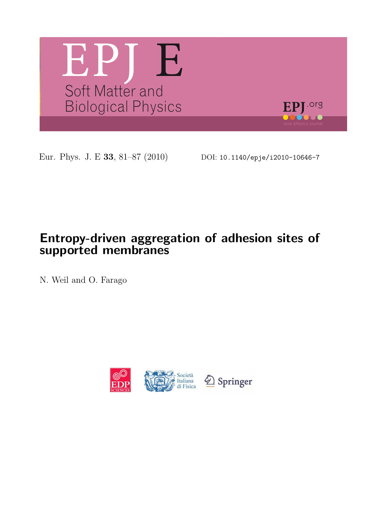

Eur. Phys. J. E 33, 81-87 (2010) DOI: 10.1140/epje/i2010-10646-7

# Entropy-driven aggregation of adhesion sites of supported membranes

N. Weil and O. Farago

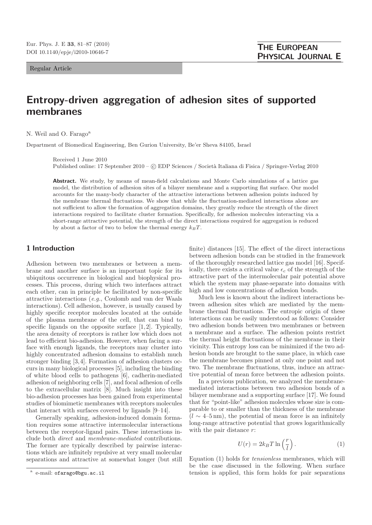Regular Article

# Entropy-driven aggregation of adhesion sites of supported membranes

N. Weil and O. Farago<sup>a</sup>

Department of Biomedical Engineering, Ben Gurion University, Be'er Sheva 84105, Israel

Received 1 June 2010

Published online: 17 September 2010 – © EDP Sciences / Società Italiana di Fisica / Springer-Verlag 2010

Abstract. We study, by means of mean-field calculations and Monte Carlo simulations of a lattice gas model, the distribution of adhesion sites of a bilayer membrane and a supporting flat surface. Our model accounts for the many-body character of the attractive interactions between adhesion points induced by the membrane thermal fluctuations. We show that while the fluctuation-mediated interactions alone are not sufficient to allow the formation of aggregation domains, they greatly reduce the strength of the direct interactions required to facilitate cluster formation. Specifically, for adhesion molecules interacting via a short-range attractive potential, the strength of the direct interactions required for aggregation is reduced by about a factor of two to below the thermal energy  $k_BT$ .

#### 1 Introduction

Adhesion between two membranes or between a membrane and another surface is an important topic for its ubiquitous occurrence in biological and biophysical processes. This process, during which two interfaces attract each other, can in principle be facilitated by non-specific attractive interactions (e.g., Coulomb and van der Waals interactions). Cell adhesion, however, is usually caused by highly specific receptor molecules located at the outside of the plasma membrane of the cell, that can bind to specific ligands on the opposite surface  $[1, 2]$ . Typically, the area density of receptors is rather low which does not lead to efficient bio-adhesion. However, when facing a surface with enough ligands, the receptors may cluster into highly concentrated adhesion domains to establish much stronger binding [3, 4]. Formation of adhesion clusters occurs in many biological processes [5], including the binding of white blood cells to pathogens [6], cadherin-mediated adhesion of neighboring cells [7], and focal adhesion of cells to the extracellular matrix [8]. Much insight into these bio-adhesion processes has been gained from experimental studies of biomimetic membranes with receptors molecules that interact with surfaces covered by ligands [9–14].

Generally speaking, adhesion-induced domain formation requires some attractive intermolecular interactions between the receptor-ligand pairs. These interactions include both direct and membrane-mediated contributions. The former are typically described by pairwise interactions which are infinitely repulsive at very small molecular separations and attractive at somewhat longer (but still finite) distances [15]. The effect of the direct interactions between adhesion bonds can be studied in the framework of the thoroughly researched lattice gas model [16]. Specifically, there exists a critical value  $\epsilon_c$  of the strength of the attractive part of the intermolecular pair potential above which the system may phase-separate into domains with high and low concentrations of adhesion bonds.

Much less is known about the indirect interactions between adhesion sites which are mediated by the membrane thermal fluctuations. The entropic origin of these interactions can be easily understood as follows: Consider two adhesion bonds between two membranes or between a membrane and a surface. The adhesion points restrict the thermal height fluctuations of the membrane in their vicinity. This entropy loss can be minimized if the two adhesion bonds are brought to the same place, in which case the membrane becomes pinned at only one point and not two. The membrane fluctuations, thus, induce an attractive potential of mean force between the adhesion points.

In a previous publication, we analyzed the membranemediated interactions between two adhesion bonds of a bilayer membrane and a supporting surface [17]. We found that for "point-like" adhesion molecules whose size is comparable to or smaller than the thickness of the membrane  $(l \sim 4{\text -}5 \,\text{nm})$ , the potential of mean force is an infinitely long-range attractive potential that grows logarithmically with the pair distance  $r$ :

$$
U(r) = 2k_B T \ln\left(\frac{r}{l}\right). \tag{1}
$$

Equation (1) holds for tensionless membranes, which will be the case discussed in the following. When surface tension is applied, this form holds for pair separations

a e-mail: ofarago@bgu.ac.il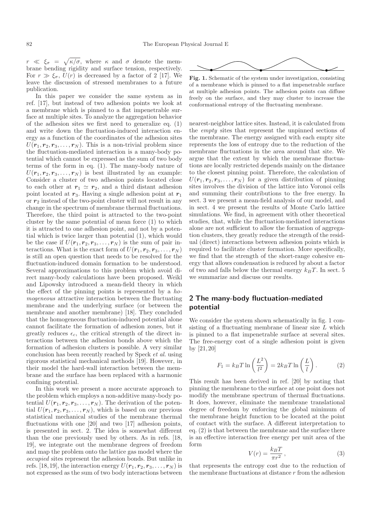$r \ll \xi_{\sigma} = \sqrt{\kappa/\sigma}$ , where  $\kappa$  and  $\sigma$  denote the membrane bending rigidity and surface tension, respectively. For  $r \gg \xi_{\sigma}$ ,  $U(r)$  is decreased by a factor of 2 [17]. We leave the discussion of stressed membranes to a future publication.

In this paper we consider the same system as in ref. [17], but instead of two adhesion points we look at a membrane which is pinned to a flat impenetrable surface at multiple sites. To analyze the aggregation behavior of the adhesion sites we first need to generalize eq. (1) and write down the fluctuation-induced interaction energy as a function of the coordinates of the adhesion sites  $U(\mathbf{r}_1, \mathbf{r}_2, \mathbf{r}_3, \ldots, \mathbf{r}_N)$ . This is a non-trivial problem since the fluctuation-mediated interaction is a many-body potential which cannot be expressed as the sum of two body terms of the form in eq. (1). The many-body nature of  $U(\mathbf{r}_1, \mathbf{r}_2, \mathbf{r}_3, \ldots, \mathbf{r}_N)$  is best illustrated by an example: Consider a cluster of two adhesion points located close to each other at  $r_1 \simeq r_2$ , and a third distant adhesion point located at  $r_3$ . Having a single adhesion point at  $r_1$ or  $r_2$  instead of the two-point cluster will not result in any change in the spectrum of membrane thermal fluctuations. Therefore, the third point is attracted to the two-point cluster by the same potential of mean force (1) to which it is attracted to one adhesion point, and not by a potential which is twice larger than potential (1), which would be the case if  $U(\mathbf{r}_1, \mathbf{r}_2, \mathbf{r}_3, \ldots, \mathbf{r}_N)$  is the sum of pair interactions. What is the exact form of  $U(\mathbf{r}_1, \mathbf{r}_2, \mathbf{r}_3, \ldots, \mathbf{r}_N)$ is still an open question that needs to be resolved for the fluctuation-induced domain formation to be understood. Several approximations to this problem which avoid direct many-body calculations have been proposed. Weikl and Lipowsky introduced a mean-field theory in which the effect of the pinning points is represented by a homogeneous attractive interaction between the fluctuating membrane and the underlying surface (or between the membrane and another membrane) [18]. They concluded that the homogeneous fluctuation-induced potential alone cannot facilitate the formation of adhesion zones, but it greatly reduces  $\epsilon_c$ , the critical strength of the direct interactions between the adhesion bonds above which the formation of adhesion clusters is possible. A very similar conclusion has been recently reached by Speck et al. using rigorous statistical mechanical methods [19]. However, in their model the hard-wall interaction between the membrane and the surface has been replaced with a harmonic confining potential.

In this work we present a more accurate approach to the problem which employs a non-additive many-body potential  $U(\mathbf{r}_1, \mathbf{r}_2, \mathbf{r}_3, \ldots, \mathbf{r}_N)$ . The derivation of the potential  $U(\mathbf{r}_1, \mathbf{r}_2, \mathbf{r}_3, \ldots, \mathbf{r}_N)$ , which is based on our previous statistical mechanical studies of the membrane thermal fluctuations with one [20] and two [17] adhesion points, is presented in sect. 2. The idea is somewhat different than the one previously used by others. As in refs. [18, 19], we integrate out the membrane degrees of freedom and map the problem onto the lattice gas model where the occupied sites represent the adhesion bonds. But unlike in refs. [18, 19], the interaction energy  $U(\mathbf{r}_1, \mathbf{r}_2, \mathbf{r}_3, \ldots, \mathbf{r}_N)$  is not expressed as the sum of two body interactions between



Fig. 1. Schematic of the system under investigation, consisting of a membrane which is pinned to a flat impenetrable surface at multiple adhesion points. The adhesion points can diffuse freely on the surface, and they may cluster to increase the conformational entropy of the fluctuating membrane.

nearest-neighbor lattice sites. Instead, it is calculated from the empty sites that represent the unpinned sections of the membrane. The energy assigned with each empty site represents the loss of entropy due to the reduction of the membrane fluctuations in the area around that site. We argue that the extent by which the membrane fluctuations are locally restricted depends mainly on the distance to the closest pinning point. Therefore, the calculation of  $U(\mathbf{r}_1, \mathbf{r}_2, \mathbf{r}_3, \ldots, \mathbf{r}_N)$  for a given distribution of pinning sites involves the division of the lattice into Voronoi cells and summing their contributions to the free energy. In sect. 3 we present a mean-field analysis of our model, and in sect. 4 we present the results of Monte Carlo lattice simulations. We find, in agreement with other theoretical studies, that, while the fluctuation-mediated interactions alone are not sufficient to allow the formation of aggregation clusters, they greatly reduce the strength of the residual (direct) interactions between adhesion points which is required to facilitate cluster formation. More specifically, we find that the strength of the short-range cohesive energy that allows condensation is reduced by about a factor of two and falls below the thermal energy  $k_BT$ . In sect. 5 we summarize and discuss our results.

### 2 The many-body fluctuation-mediated potential

We consider the system shown schematically in fig. 1 consisting of a fluctuating membrane of linear size L which is pinned to a flat impenetrable surface at several sites. The free-energy cost of a single adhesion point is given by [21, 20]

$$
F_1 = k_B T \ln\left(\frac{L^2}{l^2}\right) = 2k_B T \ln\left(\frac{L}{l}\right). \tag{2}
$$

This result has been derived in ref. [20] by noting that pinning the membrane to the surface at one point does not modify the membrane spectrum of thermal fluctuations. It does, however, eliminate the membrane translational degree of freedom by enforcing the global minimum of the membrane height function to be located at the point of contact with the surface. A different interpretation to eq. (2) is that between the membrane and the surface there is an effective interaction free energy per unit area of the form

$$
V(r) = \frac{k_B T}{\pi r^2},\tag{3}
$$

that represents the entropy cost due to the reduction of the membrane fluctuations at distance r from the adhesion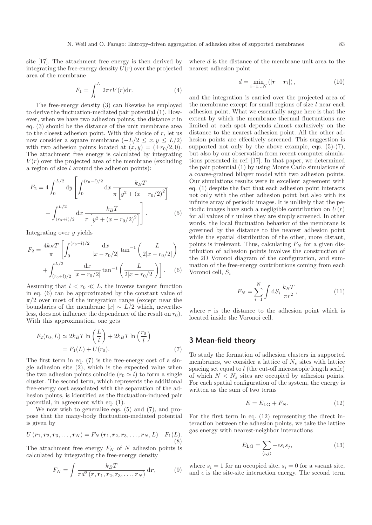site [17]. The attachment free energy is then derived by integrating the free-energy density  $U(r)$  over the projected area of the membrane

$$
F_1 = \int_l^L 2\pi r V(r) \mathrm{d}r. \tag{4}
$$

The free-energy density (3) can likewise be employed to derive the fluctuation-mediated pair potential (1). However, when we have two adhesion points, the distance  $r$  in eq. (3) should be the distance of the unit membrane area to the closest adhesion point. With this choice of  $r$ , let us now consider a square membrane  $(-L/2 \le x, y \le L/2)$ with two adhesion points located at  $(x, y) = (\pm r_0/2, 0)$ . The attachment free energy is calculated by integrating  $V(r)$  over the projected area of the membrane (excluding a region of size  $l$  around the adhesion points):

$$
F_2 = 4 \int_0^{L/2} dy \left[ \int_0^{(r_0 - l)/2} dx \frac{k_B T}{\pi \left[ y^2 + (x - r_0/2)^2 \right]} + \int_{(r_0 + l)/2}^{L/2} dx \frac{k_B T}{\pi \left[ y^2 + (x - r_0/2)^2 \right]} \right].
$$
 (5)

Integrating over y yields

$$
F_2 = \frac{4k_B T}{\pi} \left[ \int_0^{(r_0 - l)/2} \frac{\mathrm{d}x}{|x - r_0/2|} \tan^{-1} \left( \frac{L}{2|x - r_0/2|} \right) + \int_{(r_0 + l)/2}^{L/2} \frac{\mathrm{d}x}{|x - r_0/2|} \tan^{-1} \left( \frac{L}{2|x - r_0/2|} \right) \right].
$$
 (6)

Assuming that  $l < r_0 \ll L$ , the inverse tangent function in eq. (6) can be approximated by the constant value of  $\pi/2$  over most of the integration range (except near the boundaries of the membrane  $|x| \sim L/2$  which, nevertheless, does not influence the dependence of the result on  $r_0$ ). With this approximation, one gets

$$
F_2(r_0, L) \simeq 2k_B T \ln\left(\frac{L}{l}\right) + 2k_B T \ln\left(\frac{r_0}{l}\right)
$$
  
=  $F_1(L) + U(r_0).$  (7)

The first term in eq. (7) is the free-energy cost of a single adhesion site (2), which is the expected value when the two adhesion points coincide  $(r_0 \simeq l)$  to form a single cluster. The second term, which represents the additional free-energy cost associated with the separation of the adhesion points, is identified as the fluctuation-induced pair potential, in agreement with eq. (1).

We now wish to generalize eqs. (5) and (7), and propose that the many-body fluctuation-mediated potential is given by

$$
U(r_1, r_2, r_3, \dots, r_N) = F_N(r_1, r_2, r_3, \dots, r_N, L) - F_1(L).
$$
\n(8)

The attachment free energy  $F_N$  of N adhesion points is calculated by integrating the free-energy density

$$
F_N = \int \frac{k_B T}{\pi d^2 \left( \boldsymbol{r}, \boldsymbol{r}_1, \boldsymbol{r}_2, \boldsymbol{r}_3, \dots, \boldsymbol{r}_N \right)} \, \mathrm{d} \boldsymbol{r},\tag{9}
$$

where d is the distance of the membrane unit area to the nearest adhesion point

$$
d = \min_{i=1...N} (|\mathbf{r} - \mathbf{r}_i|), \tag{10}
$$

and the integration is carried over the projected area of the membrane except for small regions of size  $l$  near each adhesion point. What we essentially argue here is that the extent by which the membrane thermal fluctuations are limited at each spot depends almost exclusively on the distance to the nearest adhesion point. All the other adhesion points are effectively screened. This suggestion is supported not only by the above example, eqs.  $(5)-(7)$ , but also by our observation from recent computer simulations presented in ref. [17]. In that paper, we determined the pair potential (1) by using Monte Carlo simulations of a coarse-grained bilayer model with two adhesion points. Our simulations results were in excellent agreement with eq. (1) despite the fact that each adhesion point interacts not only with the other adhesion point but also with its infinite array of periodic images. It is unlikely that the periodic images have such a negligible contribution on  $U(r)$ for all values of r unless they are simply screened. In other words, the local fluctuation behavior of the membrane is governed by the distance to the nearest adhesion point while the spatial distribution of the other, more distant, points is irrelevant. Thus, calculating  $F<sub>N</sub>$  for a given distribution of adhesion points involves the construction of the 2D Voronoi diagram of the configuration, and summation of the free-energy contributions coming from each Voronoi cell,  $S_i$ 

$$
F_N = \sum_{i=1}^{N} \int \mathrm{d}S_i \, \frac{k_B T}{\pi r^2},\tag{11}
$$

where  $r$  is the distance to the adhesion point which is located inside the Voronoi cell.

## 3 Mean-field theory

To study the formation of adhesion clusters in supported membranes, we consider a lattice of  $N_s$  sites with lattice spacing set equal to l (the cut-off microscopic length scale) of which  $N < N_s$  sites are occupied by adhesion points. For each spatial configuration of the system, the energy is written as the sum of two terms

$$
E = E_{\text{LG}} + F_N. \tag{12}
$$

For the first term in eq. (12) representing the direct interaction between the adhesion points, we take the lattice gas energy with nearest-neighbor interactions

$$
E_{\text{LG}} = \sum_{\langle i,j \rangle} -\epsilon s_i s_j,\tag{13}
$$

where  $s_i = 1$  for an occupied site,  $s_i = 0$  for a vacant site, and  $\epsilon$  is the site-site interaction energy. The second term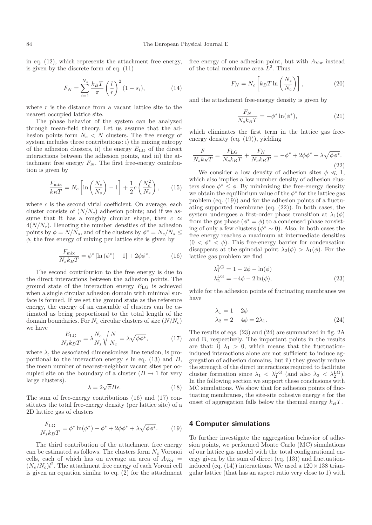in eq. (12), which represents the attachment free energy, is given by the discrete form of eq. (11)

$$
F_N = \sum_{i=1}^{N_s} \frac{k_B T}{\pi} \left(\frac{l}{r}\right)^2 (1 - s_i),
$$
 (14)

where  $r$  is the distance from a vacant lattice site to the nearest occupied lattice site.

The phase behavior of the system can be analyzed through mean-field theory. Let us assume that the adhesion points form  $N_c < N$  clusters. The free energy of system includes three contributions: i) the mixing entropy of the adhesion clusters, ii) the energy  $E_{\text{LG}}$  of the direct interactions between the adhesion points, and iii) the attachment free energy  $F_N$ . The first free-energy contribution is given by

$$
\frac{F_{\text{mix}}}{k_B T} = N_c \left[ \ln \left( \frac{N_c}{N_s} \right) - 1 \right] + \frac{1}{2} c \left( \frac{N_c^2}{N_s} \right), \qquad (15)
$$

where  $c$  is the second virial coefficient. On average, each cluster consists of  $(N/N_c)$  adhesion points; and if we assume that it has a roughly circular shape, then  $c \simeq$  $4(N/N<sub>c</sub>)$ . Denoting the number densities of the adhesion points by  $\phi = N/N_s$ , and of the clusters by  $\phi^* = N_c/N_s \leq$  $\phi$ , the free energy of mixing per lattice site is given by

$$
\frac{F_{\text{mix}}}{N_s k_B T} = \phi^* \left[ \ln \left( \phi^* \right) - 1 \right] + 2\phi \phi^*.
$$
 (16)

The second contribution to the free energy is due to the direct interactions between the adhesion points. The ground state of the interaction energy  $E_{\text{LG}}$  is achieved when a single circular adhesion domain with minimal surface is formed. If we set the ground state as the reference energy, the energy of an ensemble of clusters can be estimated as being proportional to the total length of the domain boundaries. For  $N_c$  circular clusters of size  $(N/N_c)$ we have

$$
\frac{E_{\text{LG}}}{N_s k_B T} = \lambda \frac{N_c}{N_s} \sqrt{\frac{N}{N_c}} = \lambda \sqrt{\phi \phi^*},\tag{17}
$$

where  $\lambda$ , the associated dimensionless line tension, is proportional to the interaction energy  $\epsilon$  in eq. (13) and B, the mean number of nearest-neighbor vacant sites per occupied site on the boundary of a cluster  $(B \to 1$  for very large clusters).

$$
\lambda = 2\sqrt{\pi}B\epsilon. \tag{18}
$$

The sum of free-energy contributions (16) and (17) constitutes the total free-energy density (per lattice site) of a 2D lattice gas of clusters

$$
\frac{F_{\text{LG}}}{N_s k_B T} = \phi^* \ln(\phi^*) - \phi^* + 2\phi \phi^* + \lambda \sqrt{\phi \phi^*}. \tag{19}
$$

The third contribution of the attachment free energy can be estimated as follows. The clusters form  $N_c$  Voronoi cells, each of which has on average an area of  $A_{\text{Vor}} =$  $(N_s/N_c)l^2$ . The attachment free energy of each Voroni cell is given an equation similar to eq. (2) for the attachment free energy of one adhesion point, but with  $A_{\text{Vor}}$  instead of the total membrane area  $L^2$ . Thus

$$
F_N = N_c \left[ k_B T \ln \left( \frac{N_s}{N_c} \right) \right],\tag{20}
$$

and the attachment free-energy density is given by

$$
\frac{F_N}{N_s k_B T} = -\phi^* \ln(\phi^*),\tag{21}
$$

which eliminates the first term in the lattice gas freeenergy density (eq. (19)), yielding

$$
\frac{F}{N_s k_B T} = \frac{F_{\rm LG}}{N_s k_B T} + \frac{F_N}{N_s k_B T} = -\phi^* + 2\phi \phi^* + \lambda \sqrt{\phi \phi^*}.
$$
\n(22)

We consider a low density of adhesion sites  $\phi \ll 1$ , which also implies a low number density of adhesion clusters since  $\phi^* \leq \phi$ . By minimizing the free-energy density we obtain the equilibrium value of the  $\phi^*$  for the lattice gas problem (eq. (19)) and for the adhesion points of a fluctuating supported membrane (eq. (22)). In both cases, the system undergoes a first-order phase transition at  $\lambda_1(\phi)$ from the gas phase  $(\phi^* = \phi)$  to a condensed phase consisting of only a few clusters ( $\phi^* \sim 0$ ). Also, in both cases the free energy reaches a maximum at intermediate densities  $(0 < \phi^* < \phi)$ . This free-energy barrier for condensation disappears at the spinodal point  $\lambda_2(\phi) > \lambda_1(\phi)$ . For the lattice gas problem we find

$$
\lambda_1^{\text{LG}} = 1 - 2\phi - \ln(\phi)
$$
  
\n
$$
\lambda_2^{\text{LG}} = -4\phi - 2\ln(\phi),
$$
\n(23)

while for the adhesion points of fluctuating membranes we have

$$
\begin{aligned} \lambda_1 &= 1 - 2\phi \\ \lambda_2 &= 2 - 4\phi = 2\lambda_1. \end{aligned} \tag{24}
$$

The results of eqs. (23) and (24) are summarized in fig. 2A and B, respectively. The important points in the results are that: i)  $\lambda_1 > 0$ , which means that the fluctuationinduced interactions alone are not sufficient to induce aggregation of adhesion domains, but ii) they greatly reduce the strength of the direct interactions required to facilitate cluster formation since  $\lambda_1 < \lambda_1^{\text{LG}}$  (and also  $\lambda_2 < \lambda_2^{\text{LG}}$ ). In the following section we support these conclusions with MC simulations. We show that for adhesion points of fluctuating membranes, the site-site cohesive energy  $\epsilon$  for the onset of aggregation falls below the thermal energy  $k_BT$ .

#### 4 Computer simulations

To further investigate the aggregation behavior of adhesion points, we performed Monte Carlo (MC) simulations of our lattice gas model with the total configurational energy given by the sum of direct (eq. (13)) and fluctuationinduced (eq. (14)) interactions. We used a  $120 \times 138$  triangular lattice (that has an aspect ratio very close to 1) with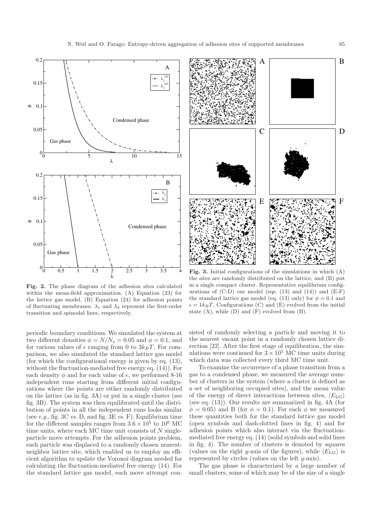

Fig. 2. The phase diagram of the adhesion sites calculated within the mean-field approximation. (A) Equation (23) for the lattice gas model. (B) Equation (24) for adhesion points of fluctuating membranes.  $\lambda_1$  and  $\lambda_2$  represent the first-order transition and spinodal lines, respectively.

periodic boundary conditions. We simulated the system at two different densities  $\phi = N/N_s = 0.05$  and  $\phi = 0.1$ , and for various values of  $\epsilon$  ranging from 0 to  $3k_BT$ . For comparison, we also simulated the standard lattice gas model (for which the configurational energy is given by eq. (13), without the fluctuation-mediated free energy eq. (14)). For each density  $\phi$  and for each value of  $\epsilon$ , we performed 8-16 independent runs starting from different initial configurations where the points are either randomly distributed on the lattice (as in fig. 3A) or put in a single cluster (see fig. 3B). The system was then equilibrated until the distribution of points in all the independent runs looks similar (see e.g., fig. 3C vs. D, and fig. 3E vs. F). Equilibrium time for the different samples ranges from  $3.6 \times 10^5$  to  $10^6$  MC time units, where each MC time unit consists of  $N$  singleparticle move attempts. For the adhesion points problem, each particle was displaced to a randomly chosen nearestneighbor lattice site, which enabled us to employ an efficient algorithm to update the Voronoi diagram needed for calculating the fluctuation-mediated free energy (14). For the standard lattice gas model, each move attempt con-



Fig. 3. Initial configurations of the simulations in which  $(A)$ the sites are randomly distributed on the lattice, and (B) put in a single compact cluster. Representative equilibrium configurations of  $(C-D)$  our model (eqs. (13) and (14)) and  $(E-F)$ the standard lattice gas model (eq. (13) only) for  $\phi = 0.1$  and  $\epsilon = 1k_BT$ . Configurations (C) and (E) evolved from the initial state (A), while (D) and (F) evolved from (B).

sisted of randomly selecting a particle and moving it to the nearest vacant point in a randomly chosen lattice direction [22]. After the first stage of equilibration, the simulations were continued for  $3 \times 10^5$  MC time units during which data was collected every third MC time unit.

To examine the occurrence of a phase transition from a gas to a condensed phase, we measured the average number of clusters in the system (where a cluster is defined as a set of neighboring occupied sites), and the mean value of the energy of direct interactions between sites,  $\langle E_{\text{LG}} \rangle$ (see eq. (13)). Our results are summarized in fig. 4A (for  $\phi = 0.05$ ) and B (for  $\phi = 0.1$ ). For each  $\phi$  we measured these quantities both for the standard lattice gas model (open symbols and dash-dotted lines in fig. 4) and for adhesion points which also interact via the fluctuationmediated free energy eq. (14) (solid symbols and solid lines in fig. 4). The number of clusters is denoted by squares (values on the right y-axis of the figures), while  $\langle E_{\text{LG}} \rangle$  is represented by circles (values on the left y-axis).

The gas phase is characterized by a large number of small clusters, some of which may be of the size of a single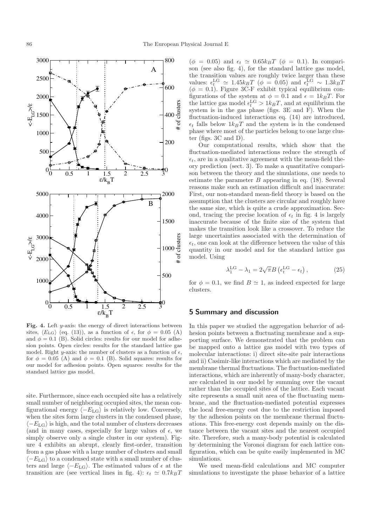

Fig. 4. Left  $y$ -axis: the energy of direct interactions between sites,  $\langle E_{\text{LG}} \rangle$  (eq. (13)), as a function of  $\epsilon$ , for  $\phi = 0.05$  (A) and  $\phi = 0.1$  (B). Solid circles: results for our model for adhesion points. Open circles: results for the standard lattice gas model. Right y-axis: the number of clusters as a function of  $\epsilon$ , for  $\phi = 0.05$  (A) and  $\phi = 0.1$  (B). Solid squares: results for our model for adhesion points. Open squares: results for the standard lattice gas model.

site. Furthermore, since each occupied site has a relatively small number of neighboring occupied sites, the mean configurational energy  $\langle -E_{\text{LG}} \rangle$  is relatively low. Conversely, when the sites form large clusters in the condensed phase,  $\langle -E_{\text{LG}} \rangle$  is high, and the total number of clusters decreases (and in many cases, especially for large values of  $\epsilon$ , we simply observe only a single cluster in our system). Figure 4 exhibits an abrupt, clearly first-order, transition from a gas phase with a large number of clusters and small  $\langle -E_{\text{LG}} \rangle$  to a condensed state with a small number of clusters and large  $\langle -E_{\text{LG}} \rangle$ . The estimated values of  $\epsilon$  at the transition are (see vertical lines in fig. 4):  $\epsilon_t \simeq 0.7 k_B T$ 

 $(\phi = 0.05)$  and  $\epsilon_t \simeq 0.65 k_B T$  ( $\phi = 0.1$ ). In comparison (see also fig. 4), for the standard lattice gas model, the transition values are roughly twice larger than these values:  $\epsilon_t^{\text{LG}} \simeq 1.45 k_B T$  ( $\phi = 0.05$ ) and  $\epsilon_t^{\text{LG}} \sim 1.3 k_B T$  $(\phi = 0.1)$ . Figure 3C-F exhibit typical equilibrium configurations of the system at  $\phi = 0.1$  and  $\epsilon = 1k_BT$ . For the lattice gas model  $\epsilon_t^{\text{LG}} > 1k_B T$ , and at equilibrium the system is in the gas phase (figs. 3E and F). When the fluctuation-induced interactions eq. (14) are introduced,  $\epsilon_t$  falls below  $1k_BT$  and the system is in the condensed phase where most of the particles belong to one large cluster (figs. 3C and D).

Our computational results, which show that the fluctuation-mediated interactions reduce the strength of  $\epsilon_t$ , are in a qualitative agreement with the mean-field theory prediction (sect. 3). To make a quantitative comparison between the theory and the simulations, one needs to estimate the parameter  $B$  appearing in eq. (18). Several reasons make such an estimation difficult and inaccurate: First, our non-standard mean-field theory is based on the assumption that the clusters are circular and roughly have the same size, which is quite a crude approximation. Second, tracing the precise location of  $\epsilon_t$  in fig. 4 is largely inaccurate because of the finite size of the system that makes the transition look like a crossover. To reduce the large uncertainties associated with the determination of  $\epsilon_t$ , one can look at the difference between the value of this quantity in our model and for the standard lattice gas model. Using

$$
\lambda_1^{\text{LG}} - \lambda_1 = 2\sqrt{\pi}B \left( \epsilon_t^{\text{LG}} - \epsilon_t \right),\tag{25}
$$

for  $\phi = 0.1$ , we find  $B \simeq 1$ , as indeed expected for large clusters.

### 5 Summary and discussion

In this paper we studied the aggregation behavior of adhesion points between a fluctuating membrane and a supporting surface. We demonstrated that the problem can be mapped onto a lattice gas model with two types of molecular interactions: i) direct site-site pair interactions and ii) Casimir-like interactions which are mediated by the membrane thermal fluctuations. The fluctuation-mediated interactions, which are inherently of many-body character, are calculated in our model by summing over the vacant rather than the occupied sites of the lattice. Each vacant site represents a small unit area of the fluctuating membrane, and the fluctuation-mediated potential expresses the local free-energy cost due to the restriction imposed by the adhesion points on the membrane thermal fluctuations. This free-energy cost depends mainly on the distance between the vacant sites and the nearest occupied site. Therefore, such a many-body potential is calculated by determining the Voronoi diagram for each lattice configuration, which can be quite easily implemented in MC simulations.

We used mean-field calculations and MC computer simulations to investigate the phase behavior of a lattice